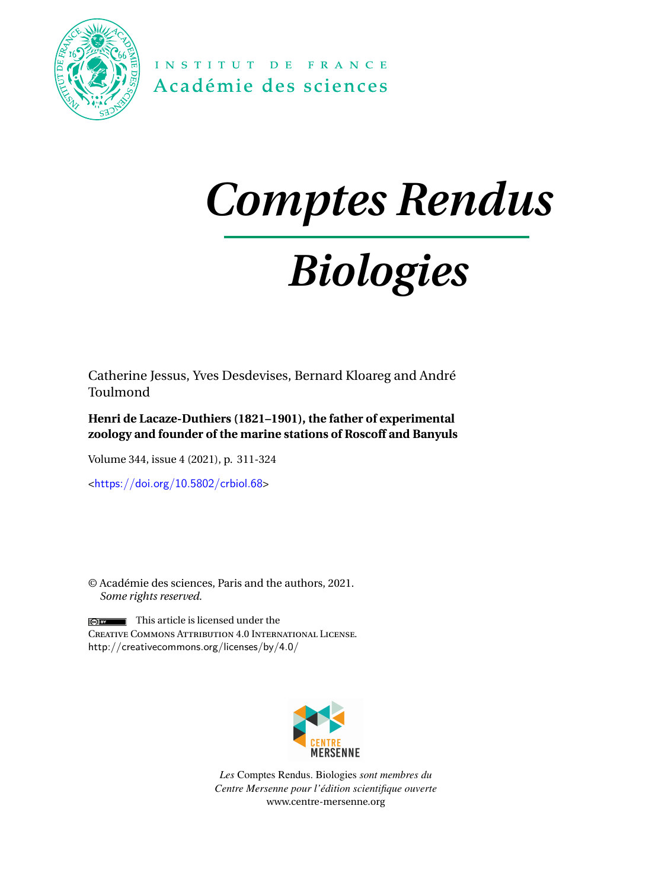

INSTITUT DE FRANCE Académie des sciences

# *Comptes Rendus*

# *Biologies*

Catherine Jessus, Yves Desdevises, Bernard Kloareg and André Toulmond

**Henri de Lacaze-Duthiers (1821–1901), the father of experimental zoology and founder of the marine stations of Roscoff and Banyuls**

Volume 344, issue 4 (2021), p. 311-324

<<https://doi.org/10.5802/crbiol.68>>

© Académie des sciences, Paris and the authors, 2021. *Some rights reserved.*

 $\sqrt{\omega}$  This article is licensed under the Creative Commons Attribution 4.0 International License. <http://creativecommons.org/licenses/by/4.0/>



*Les* Comptes Rendus. Biologies *sont membres du Centre Mersenne pour l'édition scientifique ouverte* [www.centre-mersenne.org](https://www.centre-mersenne.org)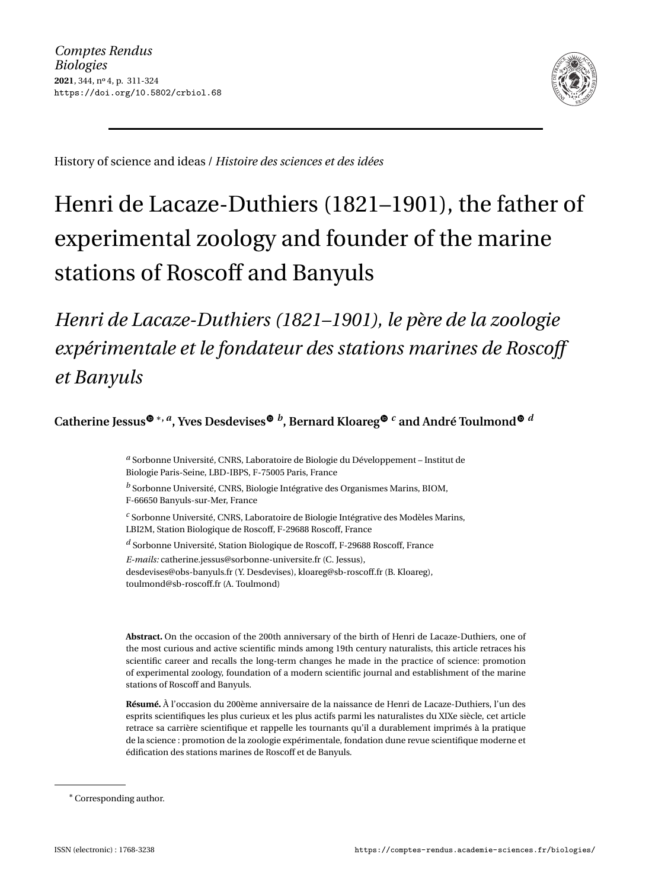

History of science and ideas / *Histoire des sciences et des idées*

# Henri de Lacaze-Duthiers (1821–1901), the father of experimental zoology and founder of the marine stations of Roscoff and Banyuls

*Henri de Lacaze-Duthiers (1821–1901), le père de la zoologie expérimentale et le fondateur des stations marines de Roscoff et Banyuls*

**Catherine Jessus** <sup>∗</sup>**,** *<sup>a</sup>* **, Yves Desdevises** *<sup>b</sup>* **, Bernard Kloare[g](https://orcid.org/0000-0002-2199-2534)** *<sup>c</sup>* **and André Toulmon[d](https://orcid.org/0000-0002-2886-3516)** *<sup>d</sup>*

*<sup>a</sup>* Sorbonne Université, CNRS, Laboratoire de Biologie du Développement – Institut de Biologie Paris-Seine, LBD-IBPS, F-75005 Paris, France

*<sup>b</sup>* Sorbonne Université, CNRS, Biologie Intégrative des Organismes Marins, BIOM, F-66650 Banyuls-sur-Mer, France

*<sup>c</sup>* Sorbonne Université, CNRS, Laboratoire de Biologie Intégrative des Modèles Marins, LBI2M, Station Biologique de Roscoff, F-29688 Roscoff, France

*<sup>d</sup>* Sorbonne Université, Station Biologique de Roscoff, F-29688 Roscoff, France

*E-mails:* [catherine.jessus@sorbonne-universite.fr](mailto:catherine.jessus@sorbonne-universite.fr) (C. Jessus), [desdevises@obs-banyuls.fr](mailto:desdevises@obs-banyuls.fr) (Y. Desdevises), [kloareg@sb-rosco](mailto:kloareg@sb-roscoff.fr)ff.fr (B. Kloareg), [toulmond@sb-rosco](mailto:toulmond@sb-roscoff.fr)ff.fr (A. Toulmond)

**Abstract.** On the occasion of the 200th anniversary of the birth of Henri de Lacaze-Duthiers, one of the most curious and active scientific minds among 19th century naturalists, this article retraces his scientific career and recalls the long-term changes he made in the practice of science: promotion of experimental zoology, foundation of a modern scientific journal and establishment of the marine stations of Roscoff and Banyuls.

**Résumé.** À l'occasion du 200ème anniversaire de la naissance de Henri de Lacaze-Duthiers, l'un des esprits scientifiques les plus curieux et les plus actifs parmi les naturalistes du XIXe siècle, cet article retrace sa carrière scientifique et rappelle les tournants qu'il a durablement imprimés à la pratique de la science : promotion de la zoologie expérimentale, fondation dune revue scientifique moderne et édification des stations marines de Roscoff et de Banyuls.

<sup>∗</sup>Corresponding author.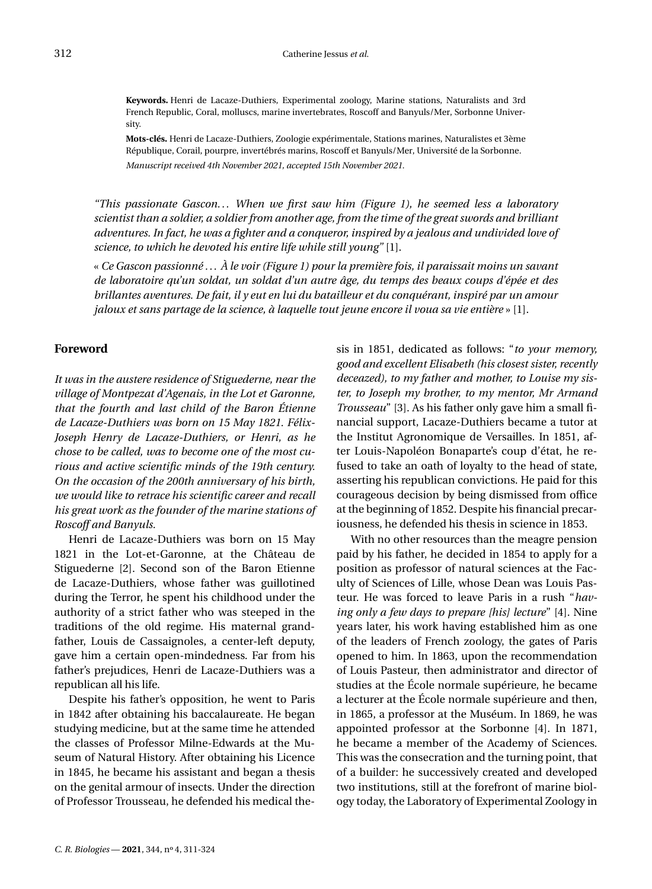**Keywords.** Henri de Lacaze-Duthiers, Experimental zoology, Marine stations, Naturalists and 3rd French Republic, Coral, molluscs, marine invertebrates, Roscoff and Banyuls/Mer, Sorbonne University.

**Mots-clés.** Henri de Lacaze-Duthiers, Zoologie expérimentale, Stations marines, Naturalistes et 3ème République, Corail, pourpre, invertébrés marins, Roscoff et Banyuls/Mer, Université de la Sorbonne. *Manuscript received 4th November 2021, accepted 15th November 2021.*

*"This passionate Gascon. . . When we first saw him (Figure [1\)](#page-3-0), he seemed less a laboratory scientist than a soldier, a soldier from another age, from the time of the great swords and brilliant adventures. In fact, he was a fighter and a conqueror, inspired by a jealous and undivided love of science, to which he devoted his entire life while still young"* [\[1\]](#page-13-0).

« *Ce Gascon passionné . . . À le voir (Figure [1\)](#page-8-0) pour la première fois, il paraissait moins un savant de laboratoire qu'un soldat, un soldat d'un autre âge, du temps des beaux coups d'épée et des brillantes aventures. De fait, il y eut en lui du batailleur et du conquérant, inspiré par un amour jaloux et sans partage de la science, à laquelle tout jeune encore il voua sa vie entière* » [\[1\]](#page-13-0).

#### **Foreword**

*It was in the austere residence of Stiguederne, near the village of Montpezat d'Agenais, in the Lot et Garonne, that the fourth and last child of the Baron Étienne de Lacaze-Duthiers was born on 15 May 1821. Félix-Joseph Henry de Lacaze-Duthiers, or Henri, as he chose to be called, was to become one of the most curious and active scientific minds of the 19th century. On the occasion of the 200th anniversary of his birth, we would like to retrace his scientific career and recall his great work as the founder of the marine stations of Roscoff and Banyuls.*

Henri de Lacaze-Duthiers was born on 15 May 1821 in the Lot-et-Garonne, at the Château de Stiguederne [\[2\]](#page-13-1). Second son of the Baron Etienne de Lacaze-Duthiers, whose father was guillotined during the Terror, he spent his childhood under the authority of a strict father who was steeped in the traditions of the old regime. His maternal grandfather, Louis de Cassaignoles, a center-left deputy, gave him a certain open-mindedness. Far from his father's prejudices, Henri de Lacaze-Duthiers was a republican all his life.

Despite his father's opposition, he went to Paris in 1842 after obtaining his baccalaureate. He began studying medicine, but at the same time he attended the classes of Professor Milne-Edwards at the Museum of Natural History. After obtaining his Licence in 1845, he became his assistant and began a thesis on the genital armour of insects. Under the direction of Professor Trousseau, he defended his medical thesis in 1851, dedicated as follows: "*to your memory, good and excellent Elisabeth (his closest sister, recently deceazed), to my father and mother, to Louise my sister, to Joseph my brother, to my mentor, Mr Armand Trousseau*" [\[3\]](#page-13-2). As his father only gave him a small financial support, Lacaze-Duthiers became a tutor at the Institut Agronomique de Versailles. In 1851, after Louis-Napoléon Bonaparte's coup d'état, he refused to take an oath of loyalty to the head of state, asserting his republican convictions. He paid for this courageous decision by being dismissed from office at the beginning of 1852. Despite his financial precariousness, he defended his thesis in science in 1853.

With no other resources than the meagre pension paid by his father, he decided in 1854 to apply for a position as professor of natural sciences at the Faculty of Sciences of Lille, whose Dean was Louis Pasteur. He was forced to leave Paris in a rush "*having only a few days to prepare [his] lecture*" [\[4\]](#page-14-0). Nine years later, his work having established him as one of the leaders of French zoology, the gates of Paris opened to him. In 1863, upon the recommendation of Louis Pasteur, then administrator and director of studies at the École normale supérieure, he became a lecturer at the École normale supérieure and then, in 1865, a professor at the Muséum. In 1869, he was appointed professor at the Sorbonne [\[4\]](#page-14-0). In 1871, he became a member of the Academy of Sciences. This was the consecration and the turning point, that of a builder: he successively created and developed two institutions, still at the forefront of marine biology today, the Laboratory of Experimental Zoology in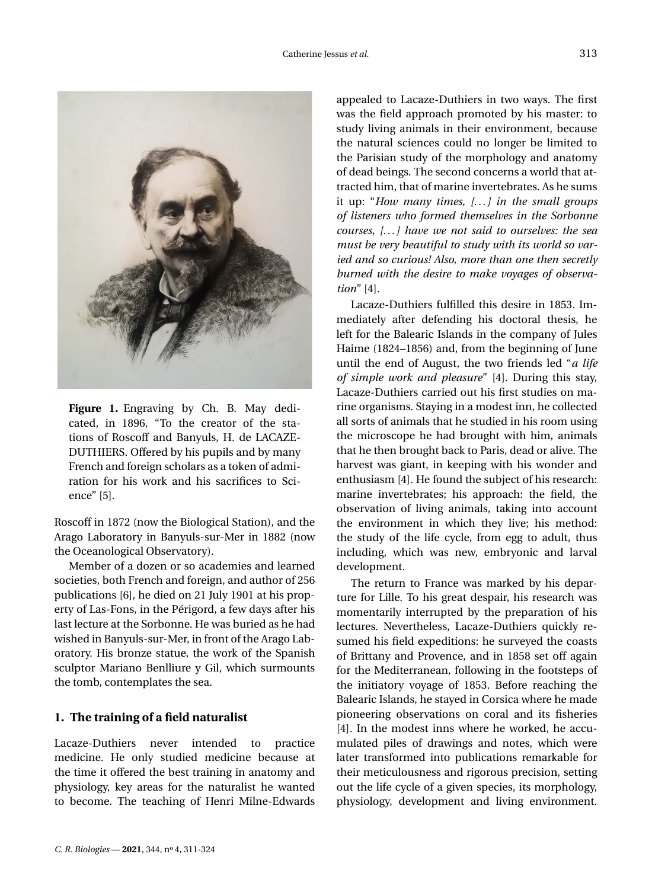

<span id="page-3-0"></span>**Figure 1.** Engraving by Ch. B. May dedicated, in 1896, "To the creator of the stations of Roscoff and Banyuls, H. de LACAZE-DUTHIERS. Offered by his pupils and by many French and foreign scholars as a token of admiration for his work and his sacrifices to Science" [\[5\]](#page-14-1).

Roscoff in 1872 (now the Biological Station), and the Arago Laboratory in Banyuls-sur-Mer in 1882 (now the Oceanological Observatory).

Member of a dozen or so academies and learned societies, both French and foreign, and author of 256 publications [\[6\]](#page-14-2), he died on 21 July 1901 at his property of Las-Fons, in the Périgord, a few days after his last lecture at the Sorbonne. He was buried as he had wished in Banyuls-sur-Mer, in front of the Arago Laboratory. His bronze statue, the work of the Spanish sculptor Mariano Benlliure y Gil, which surmounts the tomb, contemplates the sea.

# **1. The training of a field naturalist**

Lacaze-Duthiers never intended to practice medicine. He only studied medicine because at the time it offered the best training in anatomy and physiology, key areas for the naturalist he wanted to become. The teaching of Henri Milne-Edwards appealed to Lacaze-Duthiers in two ways. The first was the field approach promoted by his master: to study living animals in their environment, because the natural sciences could no longer be limited to the Parisian study of the morphology and anatomy of dead beings. The second concerns a world that attracted him, that of marine invertebrates. As he sums it up: "*How many times, [. . . ] in the small groups of listeners who formed themselves in the Sorbonne courses, [. . . ] have we not said to ourselves: the sea must be very beautiful to study with its world so varied and so curious! Also, more than one then secretly burned with the desire to make voyages of observation*" [\[4\]](#page-14-0).

Lacaze-Duthiers fulfilled this desire in 1853. Immediately after defending his doctoral thesis, he left for the Balearic Islands in the company of Jules Haime (1824–1856) and, from the beginning of June until the end of August, the two friends led "*a life of simple work and pleasure*" [\[4\]](#page-14-0). During this stay, Lacaze-Duthiers carried out his first studies on marine organisms. Staying in a modest inn, he collected all sorts of animals that he studied in his room using the microscope he had brought with him, animals that he then brought back to Paris, dead or alive. The harvest was giant, in keeping with his wonder and enthusiasm [\[4\]](#page-14-0). He found the subject of his research: marine invertebrates; his approach: the field, the observation of living animals, taking into account the environment in which they live; his method: the study of the life cycle, from egg to adult, thus including, which was new, embryonic and larval development.

The return to France was marked by his departure for Lille. To his great despair, his research was momentarily interrupted by the preparation of his lectures. Nevertheless, Lacaze-Duthiers quickly resumed his field expeditions: he surveyed the coasts of Brittany and Provence, and in 1858 set off again for the Mediterranean, following in the footsteps of the initiatory voyage of 1853. Before reaching the Balearic Islands, he stayed in Corsica where he made pioneering observations on coral and its fisheries [\[4\]](#page-14-0). In the modest inns where he worked, he accumulated piles of drawings and notes, which were later transformed into publications remarkable for their meticulousness and rigorous precision, setting out the life cycle of a given species, its morphology, physiology, development and living environment.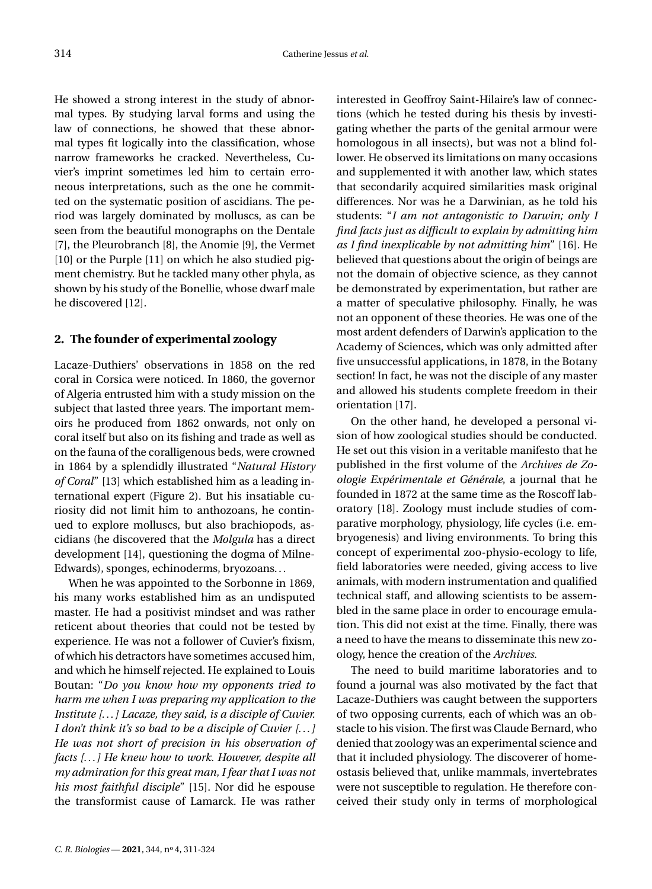He showed a strong interest in the study of abnormal types. By studying larval forms and using the law of connections, he showed that these abnormal types fit logically into the classification, whose narrow frameworks he cracked. Nevertheless, Cuvier's imprint sometimes led him to certain erroneous interpretations, such as the one he committed on the systematic position of ascidians. The period was largely dominated by molluscs, as can be seen from the beautiful monographs on the Dentale [\[7\]](#page-14-3), the Pleurobranch [\[8\]](#page-14-4), the Anomie [\[9\]](#page-14-5), the Vermet [\[10\]](#page-14-6) or the Purple [\[11\]](#page-14-7) on which he also studied pigment chemistry. But he tackled many other phyla, as shown by his study of the Bonellie, whose dwarf male he discovered [\[12\]](#page-14-8).

## **2. The founder of experimental zoology**

Lacaze-Duthiers' observations in 1858 on the red coral in Corsica were noticed. In 1860, the governor of Algeria entrusted him with a study mission on the subject that lasted three years. The important memoirs he produced from 1862 onwards, not only on coral itself but also on its fishing and trade as well as on the fauna of the coralligenous beds, were crowned in 1864 by a splendidly illustrated "*Natural History of Coral*" [\[13\]](#page-14-9) which established him as a leading international expert (Figure [2\)](#page-5-0). But his insatiable curiosity did not limit him to anthozoans, he continued to explore molluscs, but also brachiopods, ascidians (he discovered that the *Molgula* has a direct development [\[14\]](#page-14-10), questioning the dogma of Milne-Edwards), sponges, echinoderms, bryozoans. . .

When he was appointed to the Sorbonne in 1869, his many works established him as an undisputed master. He had a positivist mindset and was rather reticent about theories that could not be tested by experience. He was not a follower of Cuvier's fixism, of which his detractors have sometimes accused him, and which he himself rejected. He explained to Louis Boutan: "*Do you know how my opponents tried to harm me when I was preparing my application to the Institute [. . . ] Lacaze, they said, is a disciple of Cuvier. I don't think it's so bad to be a disciple of Cuvier [. . . ] He was not short of precision in his observation of facts [. . . ] He knew how to work. However, despite all my admiration for this great man, I fear that I was not his most faithful disciple*" [\[15\]](#page-14-11). Nor did he espouse the transformist cause of Lamarck. He was rather

interested in Geoffroy Saint-Hilaire's law of connections (which he tested during his thesis by investigating whether the parts of the genital armour were homologous in all insects), but was not a blind follower. He observed its limitations on many occasions and supplemented it with another law, which states that secondarily acquired similarities mask original differences. Nor was he a Darwinian, as he told his students: "*I am not antagonistic to Darwin; only I find facts just as difficult to explain by admitting him as I find inexplicable by not admitting him*" [\[16\]](#page-14-12). He believed that questions about the origin of beings are not the domain of objective science, as they cannot be demonstrated by experimentation, but rather are a matter of speculative philosophy. Finally, he was not an opponent of these theories. He was one of the most ardent defenders of Darwin's application to the Academy of Sciences, which was only admitted after five unsuccessful applications, in 1878, in the Botany section! In fact, he was not the disciple of any master and allowed his students complete freedom in their orientation [\[17\]](#page-14-13).

On the other hand, he developed a personal vision of how zoological studies should be conducted. He set out this vision in a veritable manifesto that he published in the first volume of the *Archives de Zoologie Expérimentale et Générale*, a journal that he founded in 1872 at the same time as the Roscoff laboratory [\[18\]](#page-14-14). Zoology must include studies of comparative morphology, physiology, life cycles (i.e. embryogenesis) and living environments. To bring this concept of experimental zoo-physio-ecology to life, field laboratories were needed, giving access to live animals, with modern instrumentation and qualified technical staff, and allowing scientists to be assembled in the same place in order to encourage emulation. This did not exist at the time. Finally, there was a need to have the means to disseminate this new zoology, hence the creation of the *Archives*.

The need to build maritime laboratories and to found a journal was also motivated by the fact that Lacaze-Duthiers was caught between the supporters of two opposing currents, each of which was an obstacle to his vision. The first was Claude Bernard, who denied that zoology was an experimental science and that it included physiology. The discoverer of homeostasis believed that, unlike mammals, invertebrates were not susceptible to regulation. He therefore conceived their study only in terms of morphological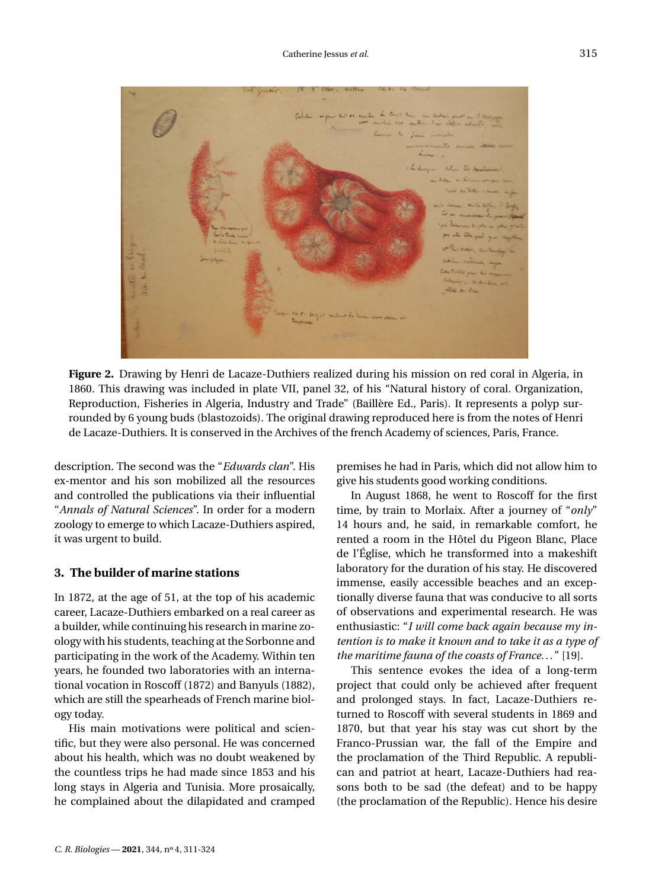

**Figure 2.** Drawing by Henri de Lacaze-Duthiers realized during his mission on red coral in Algeria, in 1860. This drawing was included in plate VII, panel 32, of his "Natural history of coral. Organization, Reproduction, Fisheries in Algeria, Industry and Trade" (Baillère Ed., Paris). It represents a polyp surrounded by 6 young buds (blastozoids). The original drawing reproduced here is from the notes of Henri de Lacaze-Duthiers. It is conserved in the Archives of the french Academy of sciences, Paris, France.

<span id="page-5-0"></span>description. The second was the "*Edwards clan*". His ex-mentor and his son mobilized all the resources and controlled the publications via their influential "*Annals of Natural Sciences*". In order for a modern zoology to emerge to which Lacaze-Duthiers aspired, it was urgent to build.

# **3. The builder of marine stations**

In 1872, at the age of 51, at the top of his academic career, Lacaze-Duthiers embarked on a real career as a builder, while continuing his research in marine zoology with his students, teaching at the Sorbonne and participating in the work of the Academy. Within ten years, he founded two laboratories with an international vocation in Roscoff (1872) and Banyuls (1882), which are still the spearheads of French marine biology today.

His main motivations were political and scientific, but they were also personal. He was concerned about his health, which was no doubt weakened by the countless trips he had made since 1853 and his long stays in Algeria and Tunisia. More prosaically, he complained about the dilapidated and cramped premises he had in Paris, which did not allow him to give his students good working conditions.

In August 1868, he went to Roscoff for the first time, by train to Morlaix. After a journey of "*only*" 14 hours and, he said, in remarkable comfort, he rented a room in the Hôtel du Pigeon Blanc, Place de l'Église, which he transformed into a makeshift laboratory for the duration of his stay. He discovered immense, easily accessible beaches and an exceptionally diverse fauna that was conducive to all sorts of observations and experimental research. He was enthusiastic: "*I will come back again because my intention is to make it known and to take it as a type of the maritime fauna of the coasts of France. . .* " [\[19\]](#page-14-15).

This sentence evokes the idea of a long-term project that could only be achieved after frequent and prolonged stays. In fact, Lacaze-Duthiers returned to Roscoff with several students in 1869 and 1870, but that year his stay was cut short by the Franco-Prussian war, the fall of the Empire and the proclamation of the Third Republic. A republican and patriot at heart, Lacaze-Duthiers had reasons both to be sad (the defeat) and to be happy (the proclamation of the Republic). Hence his desire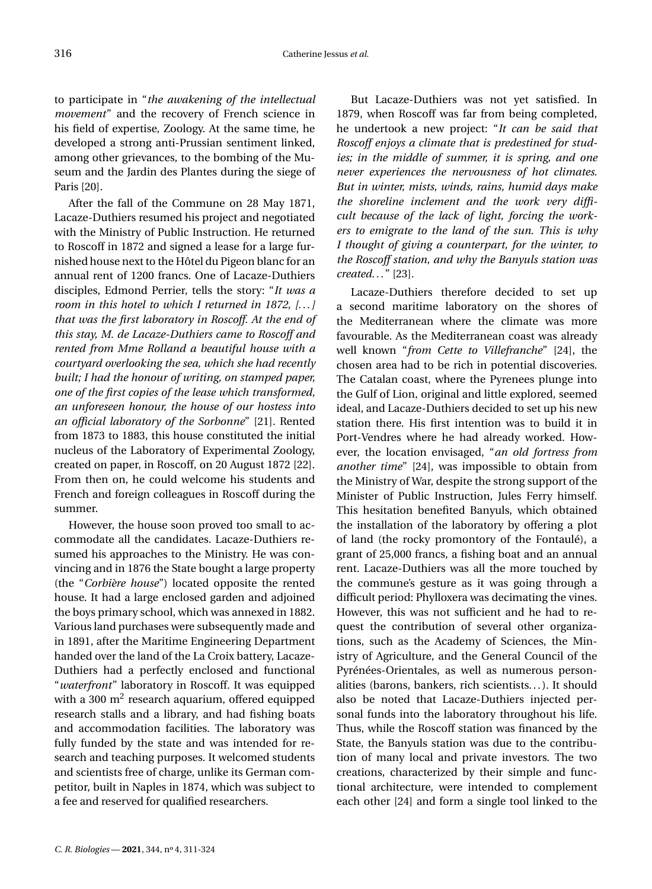to participate in "*the awakening of the intellectual movement*" and the recovery of French science in his field of expertise, Zoology. At the same time, he developed a strong anti-Prussian sentiment linked, among other grievances, to the bombing of the Museum and the Jardin des Plantes during the siege of Paris [\[20\]](#page-14-16).

After the fall of the Commune on 28 May 1871, Lacaze-Duthiers resumed his project and negotiated with the Ministry of Public Instruction. He returned to Roscoff in 1872 and signed a lease for a large furnished house next to the Hôtel du Pigeon blanc for an annual rent of 1200 francs. One of Lacaze-Duthiers disciples, Edmond Perrier, tells the story: "*It was a room in this hotel to which I returned in 1872, [. . . ] that was the first laboratory in Roscoff. At the end of this stay, M. de Lacaze-Duthiers came to Roscoff and rented from Mme Rolland a beautiful house with a courtyard overlooking the sea, which she had recently built; I had the honour of writing, on stamped paper, one of the first copies of the lease which transformed, an unforeseen honour, the house of our hostess into an official laboratory of the Sorbonne*" [\[21\]](#page-14-17). Rented from 1873 to 1883, this house constituted the initial nucleus of the Laboratory of Experimental Zoology, created on paper, in Roscoff, on 20 August 1872 [\[22\]](#page-14-18). From then on, he could welcome his students and French and foreign colleagues in Roscoff during the summer.

However, the house soon proved too small to accommodate all the candidates. Lacaze-Duthiers resumed his approaches to the Ministry. He was convincing and in 1876 the State bought a large property (the "*Corbière house*") located opposite the rented house. It had a large enclosed garden and adjoined the boys primary school, which was annexed in 1882. Various land purchases were subsequently made and in 1891, after the Maritime Engineering Department handed over the land of the La Croix battery, Lacaze-Duthiers had a perfectly enclosed and functional "*waterfront*" laboratory in Roscoff. It was equipped with a 300  $m^2$  research aquarium, offered equipped research stalls and a library, and had fishing boats and accommodation facilities. The laboratory was fully funded by the state and was intended for research and teaching purposes. It welcomed students and scientists free of charge, unlike its German competitor, built in Naples in 1874, which was subject to a fee and reserved for qualified researchers.

But Lacaze-Duthiers was not yet satisfied. In 1879, when Roscoff was far from being completed, he undertook a new project: "*It can be said that Roscoff enjoys a climate that is predestined for studies; in the middle of summer, it is spring, and one never experiences the nervousness of hot climates. But in winter, mists, winds, rains, humid days make the shoreline inclement and the work very difficult because of the lack of light, forcing the workers to emigrate to the land of the sun. This is why I thought of giving a counterpart, for the winter, to the Roscoff station, and why the Banyuls station was created. . .* " [\[23\]](#page-14-19).

Lacaze-Duthiers therefore decided to set up a second maritime laboratory on the shores of the Mediterranean where the climate was more favourable. As the Mediterranean coast was already well known "*from Cette to Villefranche*" [\[24\]](#page-14-20), the chosen area had to be rich in potential discoveries. The Catalan coast, where the Pyrenees plunge into the Gulf of Lion, original and little explored, seemed ideal, and Lacaze-Duthiers decided to set up his new station there. His first intention was to build it in Port-Vendres where he had already worked. However, the location envisaged, "*an old fortress from another time*" [\[24\]](#page-14-20), was impossible to obtain from the Ministry of War, despite the strong support of the Minister of Public Instruction, Jules Ferry himself. This hesitation benefited Banyuls, which obtained the installation of the laboratory by offering a plot of land (the rocky promontory of the Fontaulé), a grant of 25,000 francs, a fishing boat and an annual rent. Lacaze-Duthiers was all the more touched by the commune's gesture as it was going through a difficult period: Phylloxera was decimating the vines. However, this was not sufficient and he had to request the contribution of several other organizations, such as the Academy of Sciences, the Ministry of Agriculture, and the General Council of the Pyrénées-Orientales, as well as numerous personalities (barons, bankers, rich scientists...). It should also be noted that Lacaze-Duthiers injected personal funds into the laboratory throughout his life. Thus, while the Roscoff station was financed by the State, the Banyuls station was due to the contribution of many local and private investors. The two creations, characterized by their simple and functional architecture, were intended to complement each other [\[24\]](#page-14-20) and form a single tool linked to the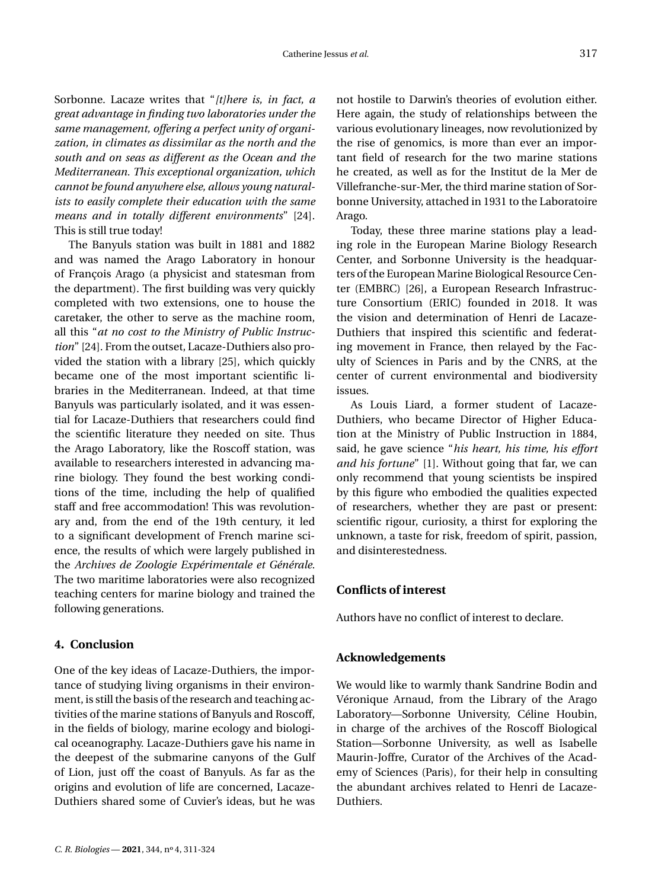Sorbonne. Lacaze writes that "*[t]here is, in fact, a great advantage in finding two laboratories under the same management, offering a perfect unity of organization, in climates as dissimilar as the north and the south and on seas as different as the Ocean and the Mediterranean. This exceptional organization, which cannot be found anywhere else, allows young naturalists to easily complete their education with the same means and in totally different environments*" [\[24\]](#page-14-20). This is still true today!

The Banyuls station was built in 1881 and 1882 and was named the Arago Laboratory in honour of François Arago (a physicist and statesman from the department). The first building was very quickly completed with two extensions, one to house the caretaker, the other to serve as the machine room, all this "*at no cost to the Ministry of Public Instruction*" [\[24\]](#page-14-20). From the outset, Lacaze-Duthiers also provided the station with a library [\[25\]](#page-14-21), which quickly became one of the most important scientific libraries in the Mediterranean. Indeed, at that time Banyuls was particularly isolated, and it was essential for Lacaze-Duthiers that researchers could find the scientific literature they needed on site. Thus the Arago Laboratory, like the Roscoff station, was available to researchers interested in advancing marine biology. They found the best working conditions of the time, including the help of qualified staff and free accommodation! This was revolutionary and, from the end of the 19th century, it led to a significant development of French marine science, the results of which were largely published in the *Archives de Zoologie Expérimentale et Générale*. The two maritime laboratories were also recognized teaching centers for marine biology and trained the following generations.

# **4. Conclusion**

One of the key ideas of Lacaze-Duthiers, the importance of studying living organisms in their environment, is still the basis of the research and teaching activities of the marine stations of Banyuls and Roscoff, in the fields of biology, marine ecology and biological oceanography. Lacaze-Duthiers gave his name in the deepest of the submarine canyons of the Gulf of Lion, just off the coast of Banyuls. As far as the origins and evolution of life are concerned, Lacaze-Duthiers shared some of Cuvier's ideas, but he was

*C. R. Biologies* - 2021, 344, nº 4, 311-324

not hostile to Darwin's theories of evolution either. Here again, the study of relationships between the various evolutionary lineages, now revolutionized by the rise of genomics, is more than ever an important field of research for the two marine stations he created, as well as for the Institut de la Mer de Villefranche-sur-Mer, the third marine station of Sorbonne University, attached in 1931 to the Laboratoire Arago.

Today, these three marine stations play a leading role in the European Marine Biology Research Center, and Sorbonne University is the headquarters of the European Marine Biological Resource Center (EMBRC) [\[26\]](#page-14-22), a European Research Infrastructure Consortium (ERIC) founded in 2018. It was the vision and determination of Henri de Lacaze-Duthiers that inspired this scientific and federating movement in France, then relayed by the Faculty of Sciences in Paris and by the CNRS, at the center of current environmental and biodiversity issues.

As Louis Liard, a former student of Lacaze-Duthiers, who became Director of Higher Education at the Ministry of Public Instruction in 1884, said, he gave science "*his heart, his time, his effort and his fortune*" [\[1\]](#page-13-0). Without going that far, we can only recommend that young scientists be inspired by this figure who embodied the qualities expected of researchers, whether they are past or present: scientific rigour, curiosity, a thirst for exploring the unknown, a taste for risk, freedom of spirit, passion, and disinterestedness.

## **Conflicts of interest**

Authors have no conflict of interest to declare.

## **Acknowledgements**

We would like to warmly thank Sandrine Bodin and Véronique Arnaud, from the Library of the Arago Laboratory—Sorbonne University, Céline Houbin, in charge of the archives of the Roscoff Biological Station—Sorbonne University, as well as Isabelle Maurin-Joffre, Curator of the Archives of the Academy of Sciences (Paris), for their help in consulting the abundant archives related to Henri de Lacaze-Duthiers.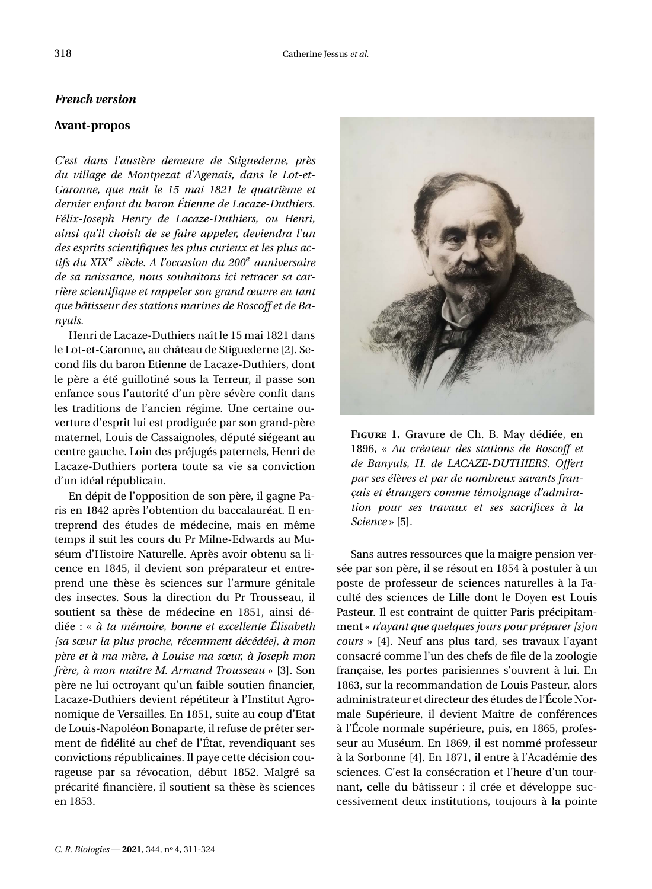# *French version*

# **Avant-propos**

*C'est dans l'austère demeure de Stiguederne, près du village de Montpezat d'Agenais, dans le Lot-et-Garonne, que naît le 15 mai 1821 le quatrième et dernier enfant du baron Étienne de Lacaze-Duthiers. Félix-Joseph Henry de Lacaze-Duthiers, ou Henri, ainsi qu'il choisit de se faire appeler, deviendra l'un des esprits scientifiques les plus curieux et les plus actifs du XIX<sup>e</sup> siècle. A l'occasion du 200<sup>e</sup> anniversaire de sa naissance, nous souhaitons ici retracer sa carrière scientifique et rappeler son grand œuvre en tant que bâtisseur des stations marines de Roscoff et de Banyuls.*

Henri de Lacaze-Duthiers naît le 15 mai 1821 dans le Lot-et-Garonne, au château de Stiguederne [\[2\]](#page-13-1). Second fils du baron Etienne de Lacaze-Duthiers, dont le père a été guillotiné sous la Terreur, il passe son enfance sous l'autorité d'un père sévère confit dans les traditions de l'ancien régime. Une certaine ouverture d'esprit lui est prodiguée par son grand-père maternel, Louis de Cassaignoles, député siégeant au centre gauche. Loin des préjugés paternels, Henri de Lacaze-Duthiers portera toute sa vie sa conviction d'un idéal républicain.

En dépit de l'opposition de son père, il gagne Paris en 1842 après l'obtention du baccalauréat. Il entreprend des études de médecine, mais en même temps il suit les cours du Pr Milne-Edwards au Muséum d'Histoire Naturelle. Après avoir obtenu sa licence en 1845, il devient son préparateur et entreprend une thèse ès sciences sur l'armure génitale des insectes. Sous la direction du Pr Trousseau, il soutient sa thèse de médecine en 1851, ainsi dédiée : « *à ta mémoire, bonne et excellente Élisabeth [sa sœur la plus proche, récemment décédée], à mon père et à ma mère, à Louise ma sœur, à Joseph mon frère, à mon maître M. Armand Trousseau* » [\[3\]](#page-13-2). Son père ne lui octroyant qu'un faible soutien financier, Lacaze-Duthiers devient répétiteur à l'Institut Agronomique de Versailles. En 1851, suite au coup d'Etat de Louis-Napoléon Bonaparte, il refuse de prêter serment de fidélité au chef de l'État, revendiquant ses convictions républicaines. Il paye cette décision courageuse par sa révocation, début 1852. Malgré sa précarité financière, il soutient sa thèse ès sciences en 1853.



**Figure 1.** Gravure de Ch. B. May dédiée, en 1896, « *Au créateur des stations de Roscoff et de Banyuls, H. de LACAZE-DUTHIERS. Offert par ses élèves et par de nombreux savants français et étrangers comme témoignage d'admiration pour ses travaux et ses sacrifices à la Science* » [\[5\]](#page-14-1).

<span id="page-8-0"></span>Sans autres ressources que la maigre pension versée par son père, il se résout en 1854 à postuler à un poste de professeur de sciences naturelles à la Faculté des sciences de Lille dont le Doyen est Louis Pasteur. Il est contraint de quitter Paris précipitamment « *n'ayant que quelques jours pour préparer [s]on cours* » [\[4\]](#page-14-0). Neuf ans plus tard, ses travaux l'ayant consacré comme l'un des chefs de file de la zoologie française, les portes parisiennes s'ouvrent à lui. En 1863, sur la recommandation de Louis Pasteur, alors administrateur et directeur des études de l'École Normale Supérieure, il devient Maître de conférences à l'École normale supérieure, puis, en 1865, professeur au Muséum. En 1869, il est nommé professeur à la Sorbonne [\[4\]](#page-14-0). En 1871, il entre à l'Académie des sciences. C'est la consécration et l'heure d'un tournant, celle du bâtisseur : il crée et développe successivement deux institutions, toujours à la pointe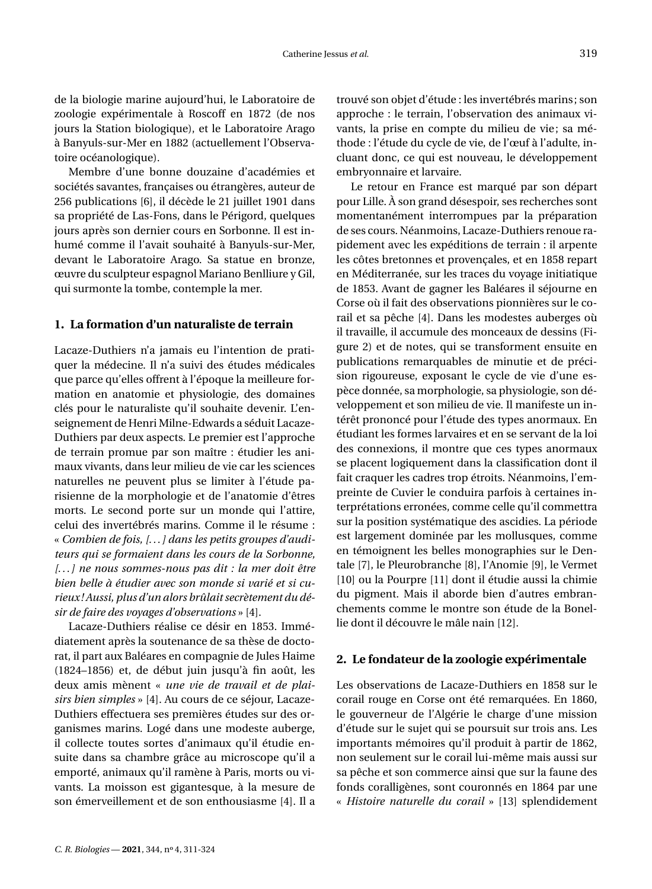de la biologie marine aujourd'hui, le Laboratoire de zoologie expérimentale à Roscoff en 1872 (de nos jours la Station biologique), et le Laboratoire Arago à Banyuls-sur-Mer en 1882 (actuellement l'Observatoire océanologique).

Membre d'une bonne douzaine d'académies et sociétés savantes, françaises ou étrangères, auteur de 256 publications [\[6\]](#page-14-2), il décède le 21 juillet 1901 dans sa propriété de Las-Fons, dans le Périgord, quelques jours après son dernier cours en Sorbonne. Il est inhumé comme il l'avait souhaité à Banyuls-sur-Mer, devant le Laboratoire Arago. Sa statue en bronze, œuvre du sculpteur espagnol Mariano Benlliure y Gil, qui surmonte la tombe, contemple la mer.

# **1. La formation d'un naturaliste de terrain**

Lacaze-Duthiers n'a jamais eu l'intention de pratiquer la médecine. Il n'a suivi des études médicales que parce qu'elles offrent à l'époque la meilleure formation en anatomie et physiologie, des domaines clés pour le naturaliste qu'il souhaite devenir. L'enseignement de Henri Milne-Edwards a séduit Lacaze-Duthiers par deux aspects. Le premier est l'approche de terrain promue par son maître : étudier les animaux vivants, dans leur milieu de vie car les sciences naturelles ne peuvent plus se limiter à l'étude parisienne de la morphologie et de l'anatomie d'êtres morts. Le second porte sur un monde qui l'attire, celui des invertébrés marins. Comme il le résume : « *Combien de fois, [. . . ] dans les petits groupes d'auditeurs qui se formaient dans les cours de la Sorbonne, [. . . ] ne nous sommes-nous pas dit : la mer doit être bien belle à étudier avec son monde si varié et si curieux! Aussi, plus d'un alors brûlait secrètement du désir de faire des voyages d'observations* » [\[4\]](#page-14-0).

Lacaze-Duthiers réalise ce désir en 1853. Immédiatement après la soutenance de sa thèse de doctorat, il part aux Baléares en compagnie de Jules Haime (1824–1856) et, de début juin jusqu'à fin août, les deux amis mènent « *une vie de travail et de plaisirs bien simples* » [\[4\]](#page-14-0). Au cours de ce séjour, Lacaze-Duthiers effectuera ses premières études sur des organismes marins. Logé dans une modeste auberge, il collecte toutes sortes d'animaux qu'il étudie ensuite dans sa chambre grâce au microscope qu'il a emporté, animaux qu'il ramène à Paris, morts ou vivants. La moisson est gigantesque, à la mesure de son émerveillement et de son enthousiasme [\[4\]](#page-14-0). Il a trouvé son objet d'étude : les invertébrés marins; son approche : le terrain, l'observation des animaux vivants, la prise en compte du milieu de vie; sa méthode : l'étude du cycle de vie, de l'œuf à l'adulte, incluant donc, ce qui est nouveau, le développement embryonnaire et larvaire.

Le retour en France est marqué par son départ pour Lille. À son grand désespoir, ses recherches sont momentanément interrompues par la préparation de ses cours. Néanmoins, Lacaze-Duthiers renoue rapidement avec les expéditions de terrain : il arpente les côtes bretonnes et provençales, et en 1858 repart en Méditerranée, sur les traces du voyage initiatique de 1853. Avant de gagner les Baléares il séjourne en Corse où il fait des observations pionnières sur le corail et sa pêche [\[4\]](#page-14-0). Dans les modestes auberges où il travaille, il accumule des monceaux de dessins (Figure [2\)](#page-10-0) et de notes, qui se transforment ensuite en publications remarquables de minutie et de précision rigoureuse, exposant le cycle de vie d'une espèce donnée, sa morphologie, sa physiologie, son développement et son milieu de vie. Il manifeste un intérêt prononcé pour l'étude des types anormaux. En étudiant les formes larvaires et en se servant de la loi des connexions, il montre que ces types anormaux se placent logiquement dans la classification dont il fait craquer les cadres trop étroits. Néanmoins, l'empreinte de Cuvier le conduira parfois à certaines interprétations erronées, comme celle qu'il commettra sur la position systématique des ascidies. La période est largement dominée par les mollusques, comme en témoignent les belles monographies sur le Dentale [\[7\]](#page-14-3), le Pleurobranche [\[8\]](#page-14-4), l'Anomie [\[9\]](#page-14-5), le Vermet [\[10\]](#page-14-6) ou la Pourpre [\[11\]](#page-14-7) dont il étudie aussi la chimie du pigment. Mais il aborde bien d'autres embranchements comme le montre son étude de la Bonellie dont il découvre le mâle nain [\[12\]](#page-14-8).

## **2. Le fondateur de la zoologie expérimentale**

Les observations de Lacaze-Duthiers en 1858 sur le corail rouge en Corse ont été remarquées. En 1860, le gouverneur de l'Algérie le charge d'une mission d'étude sur le sujet qui se poursuit sur trois ans. Les importants mémoires qu'il produit à partir de 1862, non seulement sur le corail lui-même mais aussi sur sa pêche et son commerce ainsi que sur la faune des fonds coralligènes, sont couronnés en 1864 par une « *Histoire naturelle du corail* » [\[13\]](#page-14-9) splendidement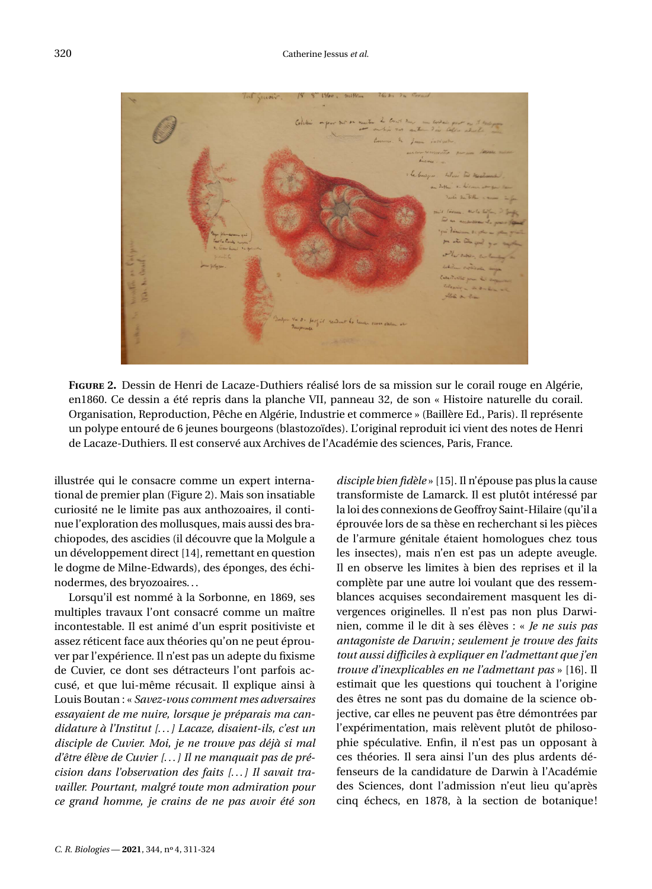

<span id="page-10-0"></span>**Figure 2.** Dessin de Henri de Lacaze-Duthiers réalisé lors de sa mission sur le corail rouge en Algérie, en1860. Ce dessin a été repris dans la planche VII, panneau 32, de son « Histoire naturelle du corail. Organisation, Reproduction, Pêche en Algérie, Industrie et commerce » (Baillère Ed., Paris). Il représente un polype entouré de 6 jeunes bourgeons (blastozoïdes). L'original reproduit ici vient des notes de Henri de Lacaze-Duthiers. Il est conservé aux Archives de l'Académie des sciences, Paris, France.

illustrée qui le consacre comme un expert international de premier plan (Figure [2\)](#page-10-0). Mais son insatiable curiosité ne le limite pas aux anthozoaires, il continue l'exploration des mollusques, mais aussi des brachiopodes, des ascidies (il découvre que la Molgule a un développement direct [\[14\]](#page-14-10), remettant en question le dogme de Milne-Edwards), des éponges, des échinodermes, des bryozoaires. . .

Lorsqu'il est nommé à la Sorbonne, en 1869, ses multiples travaux l'ont consacré comme un maître incontestable. Il est animé d'un esprit positiviste et assez réticent face aux théories qu'on ne peut éprouver par l'expérience. Il n'est pas un adepte du fixisme de Cuvier, ce dont ses détracteurs l'ont parfois accusé, et que lui-même récusait. Il explique ainsi à Louis Boutan : « *Savez-vous comment mes adversaires essayaient de me nuire, lorsque je préparais ma candidature à l'Institut [. . . ] Lacaze, disaient-ils, c'est un disciple de Cuvier. Moi, je ne trouve pas déjà si mal d'être élève de Cuvier [. . . ] Il ne manquait pas de précision dans l'observation des faits [. . . ] Il savait travailler. Pourtant, malgré toute mon admiration pour ce grand homme, je crains de ne pas avoir été son* *disciple bien fidèle* » [\[15\]](#page-14-11). Il n'épouse pas plus la cause transformiste de Lamarck. Il est plutôt intéressé par la loi des connexions de Geoffroy Saint-Hilaire (qu'il a éprouvée lors de sa thèse en recherchant si les pièces de l'armure génitale étaient homologues chez tous les insectes), mais n'en est pas un adepte aveugle. Il en observe les limites à bien des reprises et il la complète par une autre loi voulant que des ressemblances acquises secondairement masquent les divergences originelles. Il n'est pas non plus Darwinien, comme il le dit à ses élèves : « *Je ne suis pas antagoniste de Darwin; seulement je trouve des faits tout aussi difficiles à expliquer en l'admettant que j'en trouve d'inexplicables en ne l'admettant pas* » [\[16\]](#page-14-12). Il estimait que les questions qui touchent à l'origine des êtres ne sont pas du domaine de la science objective, car elles ne peuvent pas être démontrées par l'expérimentation, mais relèvent plutôt de philosophie spéculative. Enfin, il n'est pas un opposant à ces théories. Il sera ainsi l'un des plus ardents défenseurs de la candidature de Darwin à l'Académie des Sciences, dont l'admission n'eut lieu qu'après cinq échecs, en 1878, à la section de botanique!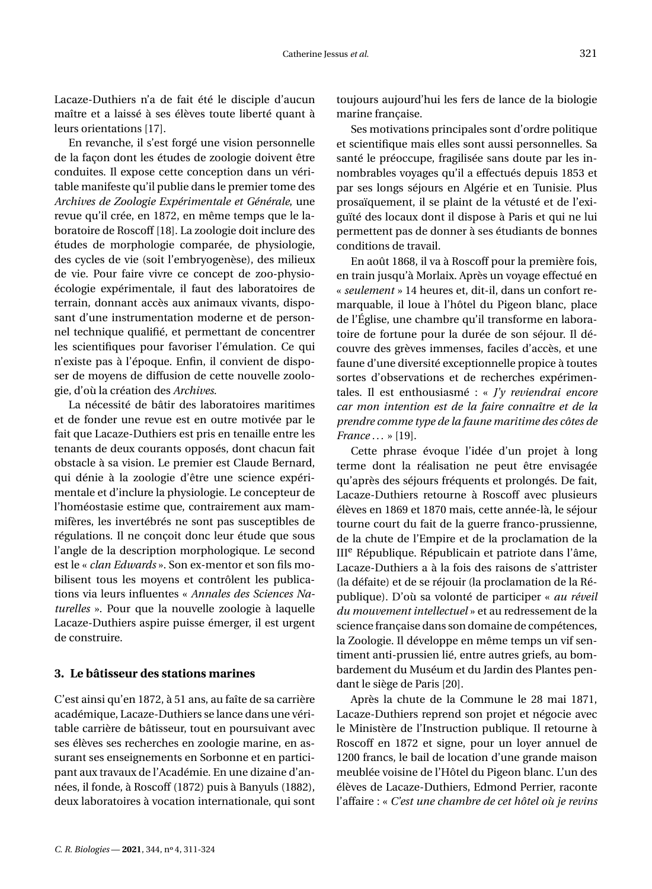Lacaze-Duthiers n'a de fait été le disciple d'aucun maître et a laissé à ses élèves toute liberté quant à leurs orientations [\[17\]](#page-14-13).

En revanche, il s'est forgé une vision personnelle de la façon dont les études de zoologie doivent être conduites. Il expose cette conception dans un véritable manifeste qu'il publie dans le premier tome des *Archives de Zoologie Expérimentale et Générale*, une revue qu'il crée, en 1872, en même temps que le laboratoire de Roscoff [\[18\]](#page-14-14). La zoologie doit inclure des études de morphologie comparée, de physiologie, des cycles de vie (soit l'embryogenèse), des milieux de vie. Pour faire vivre ce concept de zoo-physioécologie expérimentale, il faut des laboratoires de terrain, donnant accès aux animaux vivants, disposant d'une instrumentation moderne et de personnel technique qualifié, et permettant de concentrer les scientifiques pour favoriser l'émulation. Ce qui n'existe pas à l'époque. Enfin, il convient de disposer de moyens de diffusion de cette nouvelle zoologie, d'où la création des *Archives*.

La nécessité de bâtir des laboratoires maritimes et de fonder une revue est en outre motivée par le fait que Lacaze-Duthiers est pris en tenaille entre les tenants de deux courants opposés, dont chacun fait obstacle à sa vision. Le premier est Claude Bernard, qui dénie à la zoologie d'être une science expérimentale et d'inclure la physiologie. Le concepteur de l'homéostasie estime que, contrairement aux mammifères, les invertébrés ne sont pas susceptibles de régulations. Il ne conçoit donc leur étude que sous l'angle de la description morphologique. Le second est le « *clan Edwards* ». Son ex-mentor et son fils mobilisent tous les moyens et contrôlent les publications via leurs influentes « *Annales des Sciences Naturelles* ». Pour que la nouvelle zoologie à laquelle Lacaze-Duthiers aspire puisse émerger, il est urgent de construire.

# **3. Le bâtisseur des stations marines**

C'est ainsi qu'en 1872, à 51 ans, au faîte de sa carrière académique, Lacaze-Duthiers se lance dans une véritable carrière de bâtisseur, tout en poursuivant avec ses élèves ses recherches en zoologie marine, en assurant ses enseignements en Sorbonne et en participant aux travaux de l'Académie. En une dizaine d'années, il fonde, à Roscoff (1872) puis à Banyuls (1882), deux laboratoires à vocation internationale, qui sont toujours aujourd'hui les fers de lance de la biologie marine française.

Ses motivations principales sont d'ordre politique et scientifique mais elles sont aussi personnelles. Sa santé le préoccupe, fragilisée sans doute par les innombrables voyages qu'il a effectués depuis 1853 et par ses longs séjours en Algérie et en Tunisie. Plus prosaïquement, il se plaint de la vétusté et de l'exiguïté des locaux dont il dispose à Paris et qui ne lui permettent pas de donner à ses étudiants de bonnes conditions de travail.

En août 1868, il va à Roscoff pour la première fois, en train jusqu'à Morlaix. Après un voyage effectué en « *seulement* » 14 heures et, dit-il, dans un confort remarquable, il loue à l'hôtel du Pigeon blanc, place de l'Église, une chambre qu'il transforme en laboratoire de fortune pour la durée de son séjour. Il découvre des grèves immenses, faciles d'accès, et une faune d'une diversité exceptionnelle propice à toutes sortes d'observations et de recherches expérimentales. Il est enthousiasmé : « *J'y reviendrai encore car mon intention est de la faire connaître et de la prendre comme type de la faune maritime des côtes de France . . .* » [\[19\]](#page-14-15).

Cette phrase évoque l'idée d'un projet à long terme dont la réalisation ne peut être envisagée qu'après des séjours fréquents et prolongés. De fait, Lacaze-Duthiers retourne à Roscoff avec plusieurs élèves en 1869 et 1870 mais, cette année-là, le séjour tourne court du fait de la guerre franco-prussienne, de la chute de l'Empire et de la proclamation de la  $III<sup>e</sup>$  République. Républicain et patriote dans l'âme, Lacaze-Duthiers a à la fois des raisons de s'attrister (la défaite) et de se réjouir (la proclamation de la République). D'où sa volonté de participer « *au réveil du mouvement intellectuel* » et au redressement de la science française dans son domaine de compétences, la Zoologie. Il développe en même temps un vif sentiment anti-prussien lié, entre autres griefs, au bombardement du Muséum et du Jardin des Plantes pendant le siège de Paris [\[20\]](#page-14-16).

Après la chute de la Commune le 28 mai 1871, Lacaze-Duthiers reprend son projet et négocie avec le Ministère de l'Instruction publique. Il retourne à Roscoff en 1872 et signe, pour un loyer annuel de 1200 francs, le bail de location d'une grande maison meublée voisine de l'Hôtel du Pigeon blanc. L'un des élèves de Lacaze-Duthiers, Edmond Perrier, raconte l'affaire : « *C'est une chambre de cet hôtel où je revins*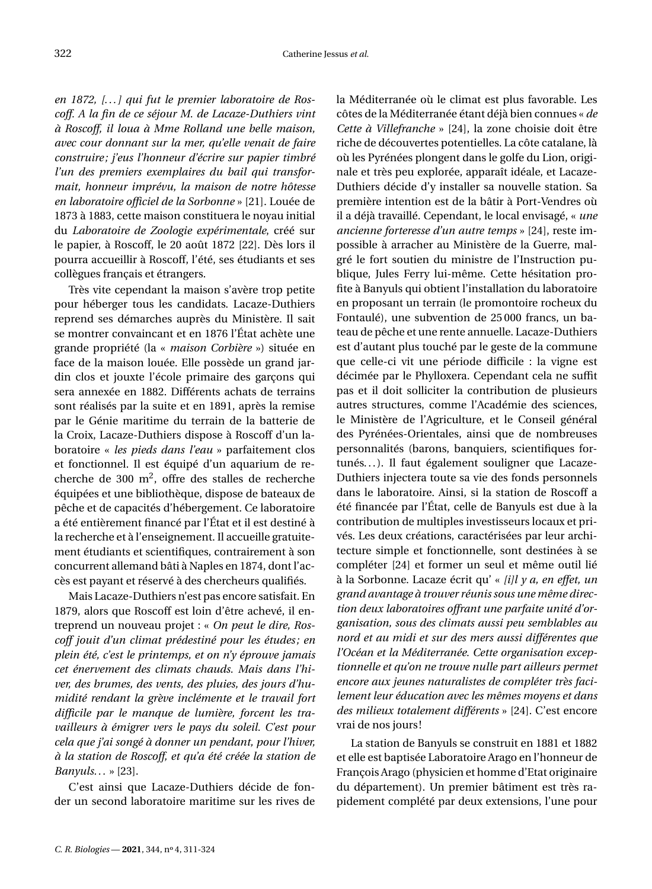*en 1872, [. . . ] qui fut le premier laboratoire de Roscoff. A la fin de ce séjour M. de Lacaze-Duthiers vint à Roscoff, il loua à Mme Rolland une belle maison, avec cour donnant sur la mer, qu'elle venait de faire construire; j'eus l'honneur d'écrire sur papier timbré l'un des premiers exemplaires du bail qui transformait, honneur imprévu, la maison de notre hôtesse en laboratoire officiel de la Sorbonne* » [\[21\]](#page-14-17). Louée de 1873 à 1883, cette maison constituera le noyau initial du *Laboratoire de Zoologie expérimentale*, créé sur le papier, à Roscoff, le 20 août 1872 [\[22\]](#page-14-18). Dès lors il pourra accueillir à Roscoff, l'été, ses étudiants et ses collègues français et étrangers.

Très vite cependant la maison s'avère trop petite pour héberger tous les candidats. Lacaze-Duthiers reprend ses démarches auprès du Ministère. Il sait se montrer convaincant et en 1876 l'État achète une grande propriété (la « *maison Corbière* ») située en face de la maison louée. Elle possède un grand jardin clos et jouxte l'école primaire des garçons qui sera annexée en 1882. Différents achats de terrains sont réalisés par la suite et en 1891, après la remise par le Génie maritime du terrain de la batterie de la Croix, Lacaze-Duthiers dispose à Roscoff d'un laboratoire « *les pieds dans l'eau* » parfaitement clos et fonctionnel. Il est équipé d'un aquarium de recherche de 300  $m^2$ , offre des stalles de recherche équipées et une bibliothèque, dispose de bateaux de pêche et de capacités d'hébergement. Ce laboratoire a été entièrement financé par l'État et il est destiné à la recherche et à l'enseignement. Il accueille gratuitement étudiants et scientifiques, contrairement à son concurrent allemand bâti à Naples en 1874, dont l'accès est payant et réservé à des chercheurs qualifiés.

Mais Lacaze-Duthiers n'est pas encore satisfait. En 1879, alors que Roscoff est loin d'être achevé, il entreprend un nouveau projet : « *On peut le dire, Roscoff jouit d'un climat prédestiné pour les études; en plein été, c'est le printemps, et on n'y éprouve jamais cet énervement des climats chauds. Mais dans l'hiver, des brumes, des vents, des pluies, des jours d'humidité rendant la grève inclémente et le travail fort difficile par le manque de lumière, forcent les travailleurs à émigrer vers le pays du soleil. C'est pour cela que j'ai songé à donner un pendant, pour l'hiver, à la station de Roscoff, et qu'a été créée la station de Banyuls. . .* » [\[23\]](#page-14-19).

C'est ainsi que Lacaze-Duthiers décide de fonder un second laboratoire maritime sur les rives de la Méditerranée où le climat est plus favorable. Les côtes de la Méditerranée étant déjà bien connues « *de Cette à Villefranche* » [\[24\]](#page-14-20), la zone choisie doit être riche de découvertes potentielles. La côte catalane, là où les Pyrénées plongent dans le golfe du Lion, originale et très peu explorée, apparaît idéale, et Lacaze-Duthiers décide d'y installer sa nouvelle station. Sa première intention est de la bâtir à Port-Vendres où il a déjà travaillé. Cependant, le local envisagé, « *une ancienne forteresse d'un autre temps* » [\[24\]](#page-14-20), reste impossible à arracher au Ministère de la Guerre, malgré le fort soutien du ministre de l'Instruction publique, Jules Ferry lui-même. Cette hésitation profite à Banyuls qui obtient l'installation du laboratoire en proposant un terrain (le promontoire rocheux du Fontaulé), une subvention de 25 000 francs, un bateau de pêche et une rente annuelle. Lacaze-Duthiers est d'autant plus touché par le geste de la commune que celle-ci vit une période difficile : la vigne est décimée par le Phylloxera. Cependant cela ne suffit pas et il doit solliciter la contribution de plusieurs autres structures, comme l'Académie des sciences, le Ministère de l'Agriculture, et le Conseil général des Pyrénées-Orientales, ainsi que de nombreuses personnalités (barons, banquiers, scientifiques fortunés. . . ). Il faut également souligner que Lacaze-Duthiers injectera toute sa vie des fonds personnels dans le laboratoire. Ainsi, si la station de Roscoff a été financée par l'État, celle de Banyuls est due à la contribution de multiples investisseurs locaux et privés. Les deux créations, caractérisées par leur architecture simple et fonctionnelle, sont destinées à se compléter [\[24\]](#page-14-20) et former un seul et même outil lié à la Sorbonne. Lacaze écrit qu' « *[i]l y a, en effet, un grand avantage à trouver réunis sous une même direction deux laboratoires offrant une parfaite unité d'organisation, sous des climats aussi peu semblables au nord et au midi et sur des mers aussi différentes que l'Océan et la Méditerranée. Cette organisation exceptionnelle et qu'on ne trouve nulle part ailleurs permet encore aux jeunes naturalistes de compléter très facilement leur éducation avec les mêmes moyens et dans des milieux totalement différents* » [\[24\]](#page-14-20). C'est encore vrai de nos jours!

La station de Banyuls se construit en 1881 et 1882 et elle est baptisée Laboratoire Arago en l'honneur de François Arago (physicien et homme d'Etat originaire du département). Un premier bâtiment est très rapidement complété par deux extensions, l'une pour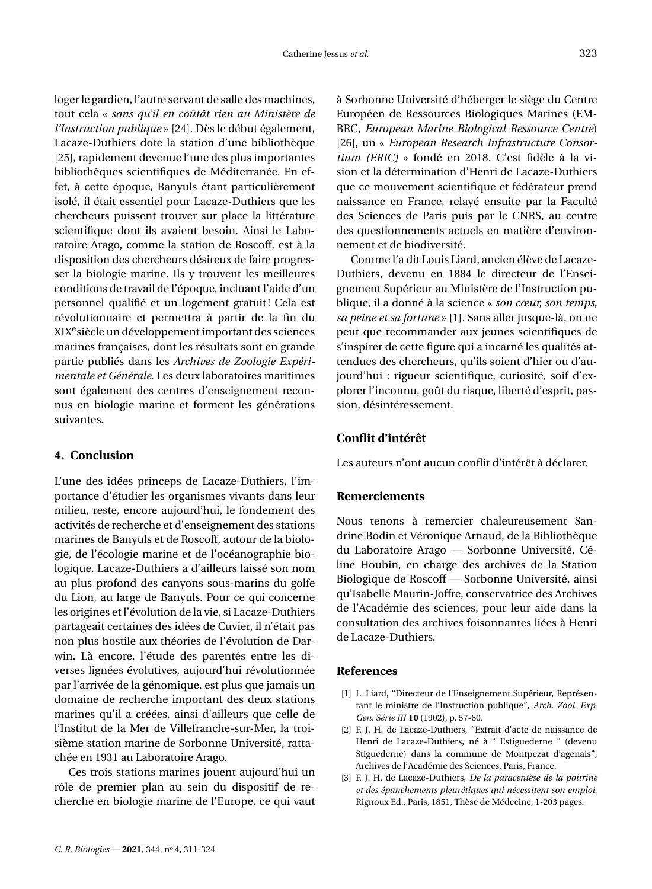loger le gardien, l'autre servant de salle des machines, tout cela « *sans qu'il en coûtât rien au Ministère de l'Instruction publique* » [\[24\]](#page-14-20). Dès le début également, Lacaze-Duthiers dote la station d'une bibliothèque [\[25\]](#page-14-21), rapidement devenue l'une des plus importantes bibliothèques scientifiques de Méditerranée. En effet, à cette époque, Banyuls étant particulièrement isolé, il était essentiel pour Lacaze-Duthiers que les chercheurs puissent trouver sur place la littérature scientifique dont ils avaient besoin. Ainsi le Laboratoire Arago, comme la station de Roscoff, est à la disposition des chercheurs désireux de faire progresser la biologie marine. Ils y trouvent les meilleures conditions de travail de l'époque, incluant l'aide d'un personnel qualifié et un logement gratuit! Cela est révolutionnaire et permettra à partir de la fin du XIX<sup>e</sup>siècle un développement important des sciences marines françaises, dont les résultats sont en grande partie publiés dans les *Archives de Zoologie Expérimentale et Générale*. Les deux laboratoires maritimes sont également des centres d'enseignement reconnus en biologie marine et forment les générations suivantes.

# **4. Conclusion**

L'une des idées princeps de Lacaze-Duthiers, l'importance d'étudier les organismes vivants dans leur milieu, reste, encore aujourd'hui, le fondement des activités de recherche et d'enseignement des stations marines de Banyuls et de Roscoff, autour de la biologie, de l'écologie marine et de l'océanographie biologique. Lacaze-Duthiers a d'ailleurs laissé son nom au plus profond des canyons sous-marins du golfe du Lion, au large de Banyuls. Pour ce qui concerne les origines et l'évolution de la vie, si Lacaze-Duthiers partageait certaines des idées de Cuvier, il n'était pas non plus hostile aux théories de l'évolution de Darwin. Là encore, l'étude des parentés entre les diverses lignées évolutives, aujourd'hui révolutionnée par l'arrivée de la génomique, est plus que jamais un domaine de recherche important des deux stations marines qu'il a créées, ainsi d'ailleurs que celle de l'Institut de la Mer de Villefranche-sur-Mer, la troisième station marine de Sorbonne Université, rattachée en 1931 au Laboratoire Arago.

Ces trois stations marines jouent aujourd'hui un rôle de premier plan au sein du dispositif de recherche en biologie marine de l'Europe, ce qui vaut à Sorbonne Université d'héberger le siège du Centre Européen de Ressources Biologiques Marines (EM-BRC, *European Marine Biological Ressource Centre*) [\[26\]](#page-14-22), un « *European Research Infrastructure Consortium (ERIC)* » fondé en 2018. C'est fidèle à la vision et la détermination d'Henri de Lacaze-Duthiers que ce mouvement scientifique et fédérateur prend naissance en France, relayé ensuite par la Faculté des Sciences de Paris puis par le CNRS, au centre des questionnements actuels en matière d'environnement et de biodiversité.

Comme l'a dit Louis Liard, ancien élève de Lacaze-Duthiers, devenu en 1884 le directeur de l'Enseignement Supérieur au Ministère de l'Instruction publique, il a donné à la science « *son cœur, son temps, sa peine et sa fortune* » [\[1\]](#page-13-0). Sans aller jusque-là, on ne peut que recommander aux jeunes scientifiques de s'inspirer de cette figure qui a incarné les qualités attendues des chercheurs, qu'ils soient d'hier ou d'aujourd'hui : rigueur scientifique, curiosité, soif d'explorer l'inconnu, goût du risque, liberté d'esprit, passion, désintéressement.

#### **Conflit d'intérêt**

Les auteurs n'ont aucun conflit d'intérêt à déclarer.

## **Remerciements**

Nous tenons à remercier chaleureusement Sandrine Bodin et Véronique Arnaud, de la Bibliothèque du Laboratoire Arago — Sorbonne Université, Céline Houbin, en charge des archives de la Station Biologique de Roscoff — Sorbonne Université, ainsi qu'Isabelle Maurin-Joffre, conservatrice des Archives de l'Académie des sciences, pour leur aide dans la consultation des archives foisonnantes liées à Henri de Lacaze-Duthiers.

#### **References**

- <span id="page-13-0"></span>[1] L. Liard, "Directeur de l'Enseignement Supérieur, Représentant le ministre de l'Instruction publique", *Arch. Zool. Exp. Gen. Série III* **10** (1902), p. 57-60.
- <span id="page-13-1"></span>[2] F. J. H. de Lacaze-Duthiers, "Extrait d'acte de naissance de Henri de Lacaze-Duthiers, né à " Estiguederne " (devenu Stiguederne) dans la commune de Montpezat d'agenais", Archives de l'Académie des Sciences, Paris, France.
- <span id="page-13-2"></span>[3] F. J. H. de Lacaze-Duthiers, *De la paracentèse de la poitrine et des épanchements pleurétiques qui nécessitent son emploi*, Rignoux Ed., Paris, 1851, Thèse de Médecine, 1-203 pages.